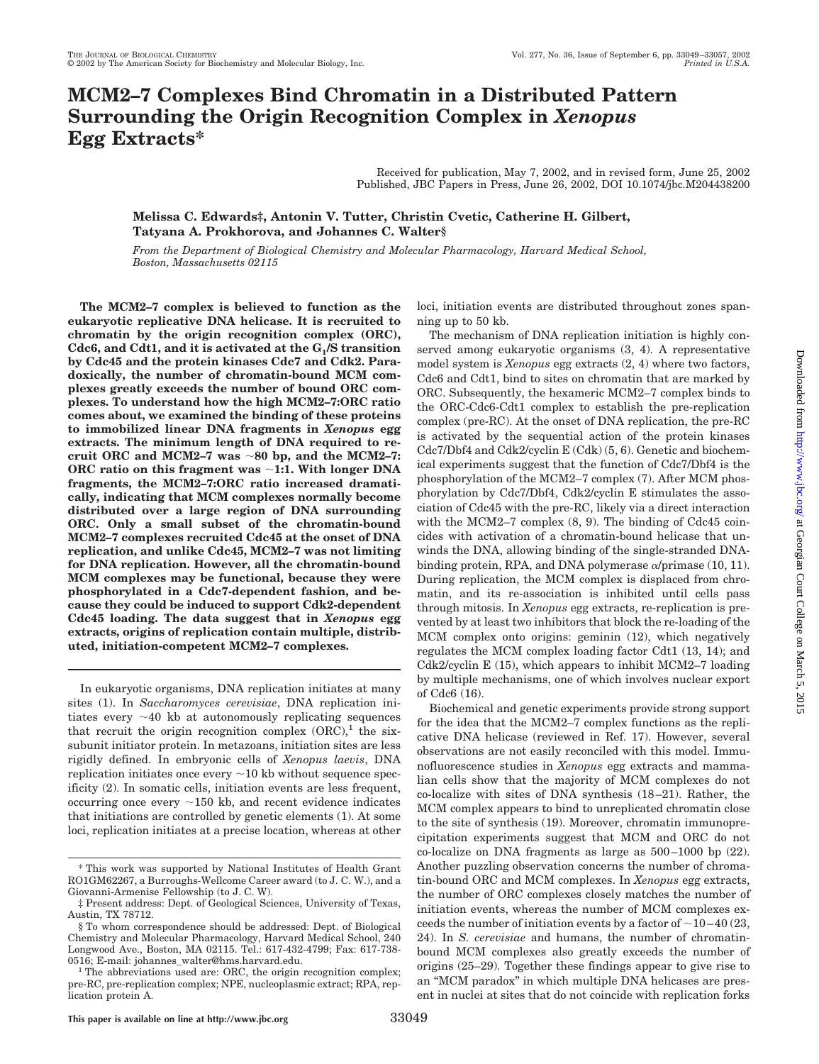# **MCM2–7 Complexes Bind Chromatin in a Distributed Pattern Surrounding the Origin Recognition Complex in** *Xenopus* **Egg Extracts\***

Received for publication, May 7, 2002, and in revised form, June 25, 2002 Published, JBC Papers in Press, June 26, 2002, DOI 10.1074/jbc.M204438200

**Melissa C. Edwards‡, Antonin V. Tutter, Christin Cvetic, Catherine H. Gilbert, Tatyana A. Prokhorova, and Johannes C. Walter§**

*From the Department of Biological Chemistry and Molecular Pharmacology, Harvard Medical School, Boston, Massachusetts 02115*

**The MCM2–7 complex is believed to function as the eukaryotic replicative DNA helicase. It is recruited to chromatin by the origin recognition complex (ORC),** Cdc6, and Cdt1, and it is activated at the G<sub>1</sub>/S transition **by Cdc45 and the protein kinases Cdc7 and Cdk2. Paradoxically, the number of chromatin-bound MCM complexes greatly exceeds the number of bound ORC complexes. To understand how the high MCM2–7:ORC ratio comes about, we examined the binding of these proteins to immobilized linear DNA fragments in** *Xenopus* **egg extracts. The minimum length of DNA required to re**cruit ORC and MCM2–7 was  $\sim 80$  bp, and the MCM2–7: **ORC ratio on this fragment was 1:1. With longer DNA fragments, the MCM2–7:ORC ratio increased dramatically, indicating that MCM complexes normally become distributed over a large region of DNA surrounding ORC. Only a small subset of the chromatin-bound MCM2–7 complexes recruited Cdc45 at the onset of DNA replication, and unlike Cdc45, MCM2–7 was not limiting for DNA replication. However, all the chromatin-bound MCM complexes may be functional, because they were phosphorylated in a Cdc7-dependent fashion, and because they could be induced to support Cdk2-dependent Cdc45 loading. The data suggest that in** *Xenopus* **egg extracts, origins of replication contain multiple, distributed, initiation-competent MCM2–7 complexes.**

In eukaryotic organisms, DNA replication initiates at many sites (1). In *Saccharomyces cerevisiae*, DNA replication initiates every  $\sim$ 40 kb at autonomously replicating sequences that recruit the origin recognition complex  $(ORC)^1$  the sixsubunit initiator protein. In metazoans, initiation sites are less rigidly defined. In embryonic cells of *Xenopus laevis*, DNA replication initiates once every  $\sim$  10 kb without sequence specificity (2). In somatic cells, initiation events are less frequent, occurring once every  $\sim$ 150 kb, and recent evidence indicates that initiations are controlled by genetic elements (1). At some loci, replication initiates at a precise location, whereas at other

loci, initiation events are distributed throughout zones spanning up to 50 kb.

The mechanism of DNA replication initiation is highly conserved among eukaryotic organisms (3, 4). A representative model system is *Xenopus* egg extracts (2, 4) where two factors, Cdc6 and Cdt1, bind to sites on chromatin that are marked by ORC. Subsequently, the hexameric MCM2–7 complex binds to the ORC-Cdc6-Cdt1 complex to establish the pre-replication complex (pre-RC). At the onset of DNA replication, the pre-RC is activated by the sequential action of the protein kinases Cdc7/Dbf4 and Cdk2/cyclin E (Cdk) (5, 6). Genetic and biochemical experiments suggest that the function of Cdc7/Dbf4 is the phosphorylation of the MCM2–7 complex (7). After MCM phosphorylation by Cdc7/Dbf4, Cdk2/cyclin E stimulates the association of Cdc45 with the pre-RC, likely via a direct interaction with the MCM2–7 complex (8, 9). The binding of Cdc45 coincides with activation of a chromatin-bound helicase that unwinds the DNA, allowing binding of the single-stranded DNAbinding protein, RPA, and DNA polymerase  $\alpha$ /primase (10, 11). During replication, the MCM complex is displaced from chromatin, and its re-association is inhibited until cells pass through mitosis. In *Xenopus* egg extracts, re-replication is prevented by at least two inhibitors that block the re-loading of the MCM complex onto origins: geminin (12), which negatively regulates the MCM complex loading factor Cdt1 (13, 14); and Cdk2/cyclin E (15), which appears to inhibit MCM2–7 loading by multiple mechanisms, one of which involves nuclear export of Cdc6 (16).

Biochemical and genetic experiments provide strong support for the idea that the MCM2–7 complex functions as the replicative DNA helicase (reviewed in Ref. 17). However, several observations are not easily reconciled with this model. Immunofluorescence studies in *Xenopus* egg extracts and mammalian cells show that the majority of MCM complexes do not co-localize with sites of DNA synthesis (18–21). Rather, the MCM complex appears to bind to unreplicated chromatin close to the site of synthesis (19). Moreover, chromatin immunoprecipitation experiments suggest that MCM and ORC do not co-localize on DNA fragments as large as 500–1000 bp (22). Another puzzling observation concerns the number of chromatin-bound ORC and MCM complexes. In *Xenopus* egg extracts, the number of ORC complexes closely matches the number of initiation events, whereas the number of MCM complexes exceeds the number of initiation events by a factor of  $\sim$  10–40 (23, 24). In *S. cerevisiae* and humans, the number of chromatinbound MCM complexes also greatly exceeds the number of origins (25–29). Together these findings appear to give rise to an "MCM paradox" in which multiple DNA helicases are present in nuclei at sites that do not coincide with replication forks

<sup>\*</sup> This work was supported by National Institutes of Health Grant RO1GM62267, a Burroughs-Wellcome Career award (to J. C. W.), and a Giovanni-Armenise Fellowship (to J. C. W).

<sup>‡</sup> Present address: Dept. of Geological Sciences, University of Texas, Austin, TX 78712.

<sup>§</sup> To whom correspondence should be addressed: Dept. of Biological Chemistry and Molecular Pharmacology, Harvard Medical School, 240 Longwood Ave., Boston, MA 02115. Tel.: 617-432-4799; Fax: 617-738- 0516; E-mail: johannes\_walter@hms.harvard.edu.<br><sup>1</sup> The abbreviations used are: ORC, the origin recognition complex;

pre-RC, pre-replication complex; NPE, nucleoplasmic extract; RPA, replication protein A.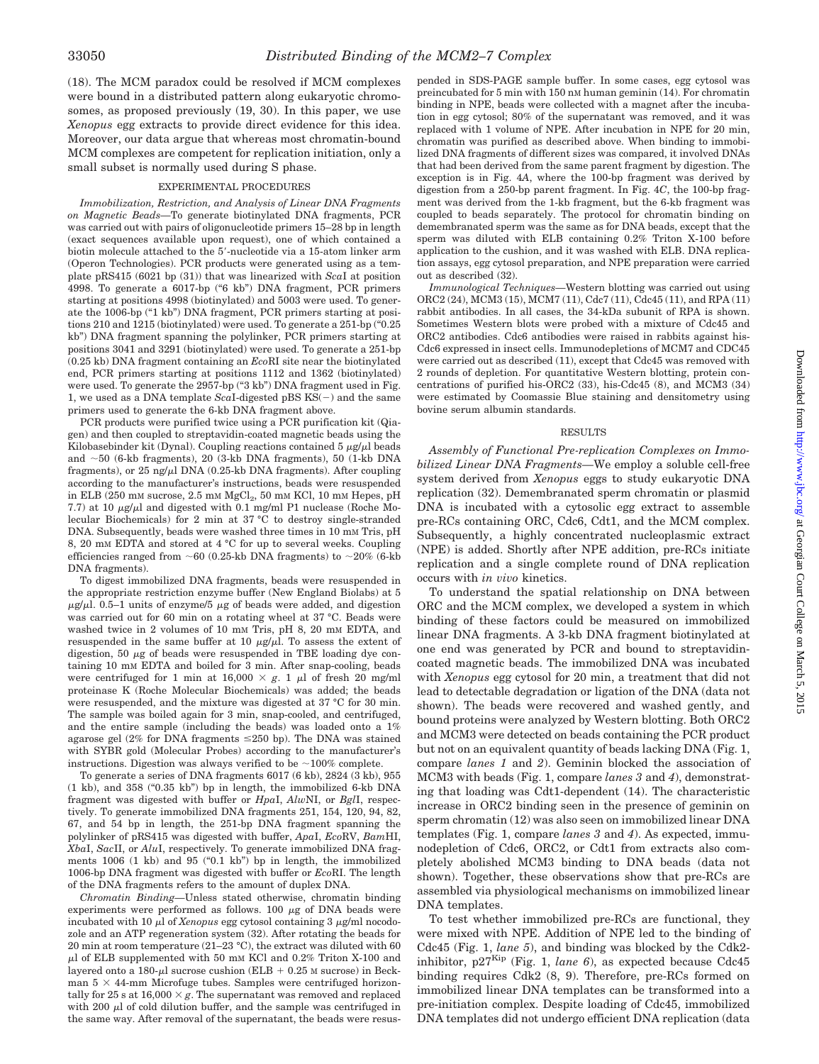(18). The MCM paradox could be resolved if MCM complexes were bound in a distributed pattern along eukaryotic chromosomes, as proposed previously (19, 30). In this paper, we use *Xenopus* egg extracts to provide direct evidence for this idea. Moreover, our data argue that whereas most chromatin-bound MCM complexes are competent for replication initiation, only a small subset is normally used during S phase.

#### EXPERIMENTAL PROCEDURES

*Immobilization, Restriction, and Analysis of Linear DNA Fragments on Magnetic Beads—*To generate biotinylated DNA fragments, PCR was carried out with pairs of oligonucleotide primers 15–28 bp in length (exact sequences available upon request), one of which contained a biotin molecule attached to the 5--nucleotide via a 15-atom linker arm (Operon Technologies). PCR products were generated using as a template pRS415 (6021 bp (31)) that was linearized with *Sca*I at position 4998. To generate a 6017-bp ("6 kb") DNA fragment, PCR primers starting at positions 4998 (biotinylated) and 5003 were used. To generate the 1006-bp ("1 kb") DNA fragment, PCR primers starting at positions 210 and 1215 (biotinylated) were used. To generate a 251-bp ("0.25 kb") DNA fragment spanning the polylinker, PCR primers starting at positions 3041 and 3291 (biotinylated) were used. To generate a 251-bp (0.25 kb) DNA fragment containing an *Eco*RI site near the biotinylated end, PCR primers starting at positions 1112 and 1362 (biotinylated) were used. To generate the 2957-bp ("3 kb") DNA fragment used in Fig. 1, we used as a DNA template  $ScaI$ -digested pBS  $\overline{KS}(-)$  and the same primers used to generate the 6-kb DNA fragment above.

PCR products were purified twice using a PCR purification kit (Qiagen) and then coupled to streptavidin-coated magnetic beads using the Kilobasebinder kit (Dynal). Coupling reactions contained  $5 \mu g/\mu l$  beads and  $\sim$  50 (6-kb fragments), 20 (3-kb DNA fragments), 50 (1-kb DNA fragments), or  $25 \text{ ng/}\mu$ l DNA  $(0.25 \text{-kb} )$  DNA fragments). After coupling according to the manufacturer's instructions, beads were resuspended in ELB (250 mM sucrose,  $2.5$  mM  $MgCl<sub>2</sub>$ ,  $50$  mM KCl,  $10$  mM Hepes, pH 7.7) at 10  $\mu$ g/ $\mu$ l and digested with 0.1 mg/ml P1 nuclease (Roche Molecular Biochemicals) for 2 min at 37 °C to destroy single-stranded DNA. Subsequently, beads were washed three times in 10 mM Tris, pH 8, 20 mM EDTA and stored at 4 °C for up to several weeks. Coupling efficiencies ranged from  $\sim 60$  (0.25-kb DNA fragments) to  $\sim 20\%$  (6-kb) DNA fragments).

To digest immobilized DNA fragments, beads were resuspended in the appropriate restriction enzyme buffer (New England Biolabs) at 5  $\mu$ g/ $\mu$ l. 0.5–1 units of enzyme/5  $\mu$ g of beads were added, and digestion was carried out for 60 min on a rotating wheel at 37 °C. Beads were washed twice in 2 volumes of 10 mM Tris, pH 8, 20 mM EDTA, and resuspended in the same buffer at 10  $\mu$ g/ $\mu$ l. To assess the extent of digestion, 50  $\mu$ g of beads were resuspended in TBE loading dye containing 10 mM EDTA and boiled for 3 min. After snap-cooling, beads were centrifuged for 1 min at  $16,000 \times g$ . 1  $\mu$ l of fresh 20 mg/ml proteinase K (Roche Molecular Biochemicals) was added; the beads were resuspended, and the mixture was digested at 37 °C for 30 min. The sample was boiled again for 3 min, snap-cooled, and centrifuged, and the entire sample (including the beads) was loaded onto a 1% agarose gel (2% for DNA fragments  $\leq$ 250 bp). The DNA was stained with SYBR gold (Molecular Probes) according to the manufacturer's instructions. Digestion was always verified to be  $\sim$ 100% complete.

To generate a series of DNA fragments 6017 (6 kb), 2824 (3 kb), 955 (1 kb), and 358 ("0.35 kb") bp in length, the immobilized 6-kb DNA fragment was digested with buffer or *Hpa*I, *Alw*NI, or *Bgl*I, respectively. To generate immobilized DNA fragments 251, 154, 120, 94, 82, 67, and 54 bp in length, the 251-bp DNA fragment spanning the polylinker of pRS415 was digested with buffer, *Apa*I, *Eco*RV, *Bam*HI, *Xba*I, *Sac*II, or *Alu*I, respectively. To generate immobilized DNA fragments 1006 (1 kb) and 95 ("0.1 kb") bp in length, the immobilized 1006-bp DNA fragment was digested with buffer or *Eco*RI. The length of the DNA fragments refers to the amount of duplex DNA.

*Chromatin Binding—*Unless stated otherwise, chromatin binding experiments were performed as follows.  $100 \mu$ g of DNA beads were incubated with 10  $\mu$ l of *Xenopus* egg cytosol containing 3  $\mu$ g/ml nocodozole and an ATP regeneration system (32). After rotating the beads for 20 min at room temperature (21–23 °C), the extract was diluted with 60  $\mu$ l of ELB supplemented with 50 mm KCl and 0.2% Triton X-100 and layered onto a 180- $\mu$ l sucrose cushion (ELB + 0.25 M sucrose) in Beckman  $5 \times 44$ -mm Microfuge tubes. Samples were centrifuged horizontally for 25 s at  $16,000 \times g$ . The supernatant was removed and replaced with 200  $\mu$ l of cold dilution buffer, and the sample was centrifuged in the same way. After removal of the supernatant, the beads were resuspended in SDS-PAGE sample buffer. In some cases, egg cytosol was preincubated for 5 min with 150 nM human geminin (14). For chromatin binding in NPE, beads were collected with a magnet after the incubation in egg cytosol; 80% of the supernatant was removed, and it was replaced with 1 volume of NPE. After incubation in NPE for 20 min, chromatin was purified as described above. When binding to immobilized DNA fragments of different sizes was compared, it involved DNAs that had been derived from the same parent fragment by digestion. The exception is in Fig. 4*A*, where the 100-bp fragment was derived by digestion from a 250-bp parent fragment. In Fig. 4*C*, the 100-bp fragment was derived from the 1-kb fragment, but the 6-kb fragment was coupled to beads separately. The protocol for chromatin binding on demembranated sperm was the same as for DNA beads, except that the sperm was diluted with ELB containing 0.2% Triton X-100 before application to the cushion, and it was washed with ELB. DNA replication assays, egg cytosol preparation, and NPE preparation were carried out as described (32).

*Immunological Techniques—*Western blotting was carried out using ORC2 (24), MCM3 (15), MCM7 (11), Cdc7 (11), Cdc45 (11), and RPA (11) rabbit antibodies. In all cases, the 34-kDa subunit of RPA is shown. Sometimes Western blots were probed with a mixture of Cdc45 and ORC2 antibodies. Cdc6 antibodies were raised in rabbits against his-Cdc6 expressed in insect cells. Immunodepletions of MCM7 and CDC45 were carried out as described (11), except that Cdc45 was removed with 2 rounds of depletion. For quantitative Western blotting, protein concentrations of purified his-ORC2 (33), his-Cdc45 (8), and MCM3 (34) were estimated by Coomassie Blue staining and densitometry using bovine serum albumin standards.

### RESULTS

*Assembly of Functional Pre-replication Complexes on Immobilized Linear DNA Fragments—*We employ a soluble cell-free system derived from *Xenopus* eggs to study eukaryotic DNA replication (32). Demembranated sperm chromatin or plasmid DNA is incubated with a cytosolic egg extract to assemble pre-RCs containing ORC, Cdc6, Cdt1, and the MCM complex. Subsequently, a highly concentrated nucleoplasmic extract (NPE) is added. Shortly after NPE addition, pre-RCs initiate replication and a single complete round of DNA replication occurs with *in vivo* kinetics.

To understand the spatial relationship on DNA between ORC and the MCM complex, we developed a system in which binding of these factors could be measured on immobilized linear DNA fragments. A 3-kb DNA fragment biotinylated at one end was generated by PCR and bound to streptavidincoated magnetic beads. The immobilized DNA was incubated with *Xenopus* egg cytosol for 20 min, a treatment that did not lead to detectable degradation or ligation of the DNA (data not shown). The beads were recovered and washed gently, and bound proteins were analyzed by Western blotting. Both ORC2 and MCM3 were detected on beads containing the PCR product but not on an equivalent quantity of beads lacking DNA (Fig. 1, compare *lanes 1* and *2*). Geminin blocked the association of MCM3 with beads (Fig. 1, compare *lanes 3* and *4*), demonstrating that loading was Cdt1-dependent (14). The characteristic increase in ORC2 binding seen in the presence of geminin on sperm chromatin (12) was also seen on immobilized linear DNA templates (Fig. 1, compare *lanes 3* and *4*). As expected, immunodepletion of Cdc6, ORC2, or Cdt1 from extracts also completely abolished MCM3 binding to DNA beads (data not shown). Together, these observations show that pre-RCs are assembled via physiological mechanisms on immobilized linear DNA templates.

To test whether immobilized pre-RCs are functional, they were mixed with NPE. Addition of NPE led to the binding of Cdc45 (Fig. 1, *lane 5*), and binding was blocked by the Cdk2 inhibitor,  $p27^{Kip}$  (Fig. 1, *lane 6*), as expected because Cdc45 binding requires Cdk2 (8, 9). Therefore, pre-RCs formed on immobilized linear DNA templates can be transformed into a pre-initiation complex. Despite loading of Cdc45, immobilized DNA templates did not undergo efficient DNA replication (data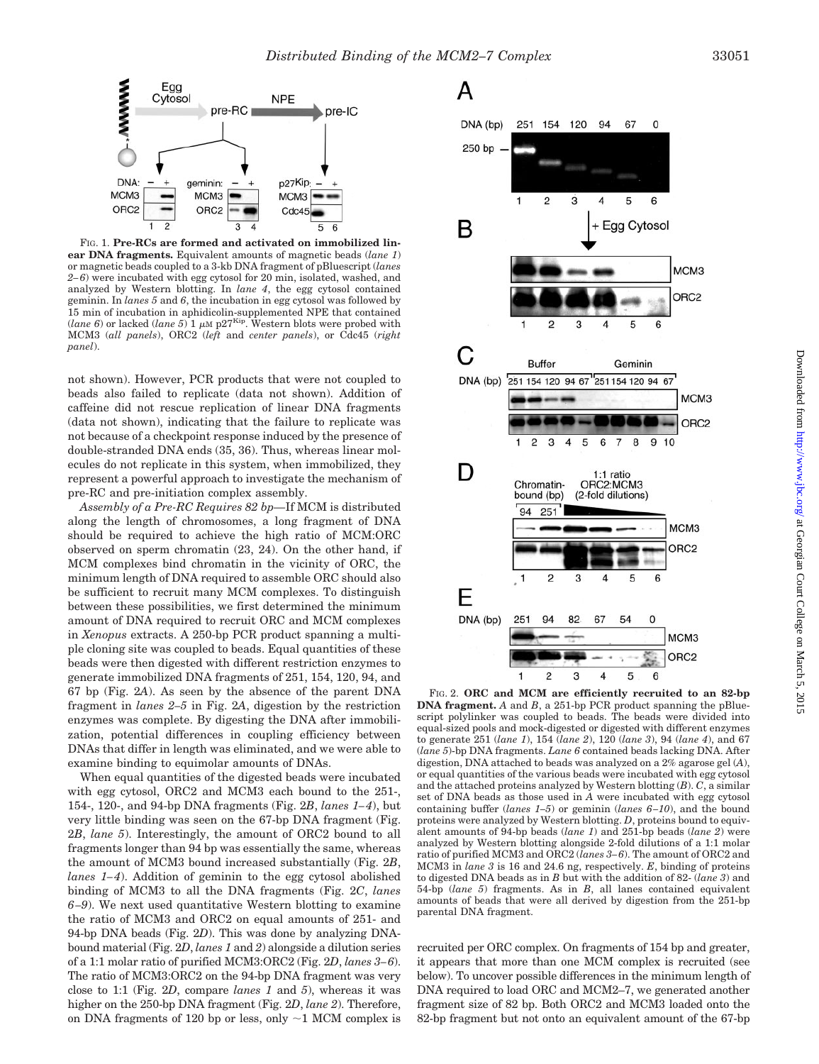

FIG. 1. **Pre-RCs are formed and activated on immobilized linear DNA fragments.** Equivalent amounts of magnetic beads (*lane 1*) or magnetic beads coupled to a 3-kb DNA fragment of pBluescript (*lanes 2–6*) were incubated with egg cytosol for 20 min, isolated, washed, and analyzed by Western blotting. In *lane 4*, the egg cytosol contained geminin. In *lanes 5* and *6*, the incubation in egg cytosol was followed by 15 min of incubation in aphidicolin-supplemented NPE that contained (*lane 6*) or lacked (*lane 5*) 1  $\mu$ M p27<sup>Kip</sup>. Western blots were probed with MCM3 (*all panels*), ORC2 (*left* and *center panels*), or Cdc45 (*right panel*).

not shown). However, PCR products that were not coupled to beads also failed to replicate (data not shown). Addition of caffeine did not rescue replication of linear DNA fragments (data not shown), indicating that the failure to replicate was not because of a checkpoint response induced by the presence of double-stranded DNA ends (35, 36). Thus, whereas linear molecules do not replicate in this system, when immobilized, they represent a powerful approach to investigate the mechanism of pre-RC and pre-initiation complex assembly.

*Assembly of a Pre-RC Requires 82 bp—*If MCM is distributed along the length of chromosomes, a long fragment of DNA should be required to achieve the high ratio of MCM:ORC observed on sperm chromatin (23, 24). On the other hand, if MCM complexes bind chromatin in the vicinity of ORC, the minimum length of DNA required to assemble ORC should also be sufficient to recruit many MCM complexes. To distinguish between these possibilities, we first determined the minimum amount of DNA required to recruit ORC and MCM complexes in *Xenopus* extracts. A 250-bp PCR product spanning a multiple cloning site was coupled to beads. Equal quantities of these beads were then digested with different restriction enzymes to generate immobilized DNA fragments of 251, 154, 120, 94, and 67 bp (Fig. 2*A*). As seen by the absence of the parent DNA fragment in *lanes 2–5* in Fig. 2*A*, digestion by the restriction enzymes was complete. By digesting the DNA after immobilization, potential differences in coupling efficiency between DNAs that differ in length was eliminated, and we were able to examine binding to equimolar amounts of DNAs.

When equal quantities of the digested beads were incubated with egg cytosol, ORC2 and MCM3 each bound to the 251-, 154-, 120-, and 94-bp DNA fragments (Fig. 2*B*, *lanes 1–4*), but very little binding was seen on the 67-bp DNA fragment (Fig. 2*B*, *lane 5*). Interestingly, the amount of ORC2 bound to all fragments longer than 94 bp was essentially the same, whereas the amount of MCM3 bound increased substantially (Fig. 2*B*, *lanes 1–4*). Addition of geminin to the egg cytosol abolished binding of MCM3 to all the DNA fragments (Fig. 2*C*, *lanes 6–9*). We next used quantitative Western blotting to examine the ratio of MCM3 and ORC2 on equal amounts of 251- and 94-bp DNA beads (Fig. 2*D*). This was done by analyzing DNAbound material (Fig. 2*D*, *lanes 1* and *2*) alongside a dilution series of a 1:1 molar ratio of purified MCM3:ORC2 (Fig. 2*D*, *lanes 3–6*). The ratio of MCM3:ORC2 on the 94-bp DNA fragment was very close to 1:1 (Fig. 2*D*, compare *lanes 1* and *5*), whereas it was higher on the 250-bp DNA fragment (Fig. 2*D*, *lane 2*). Therefore, on DNA fragments of 120 bp or less, only  $\sim$  1 MCM complex is

### А



FIG. 2. **ORC and MCM are efficiently recruited to an 82-bp DNA fragment.** *A* and *B*, a 251-bp PCR product spanning the pBluescript polylinker was coupled to beads. The beads were divided into equal-sized pools and mock-digested or digested with different enzymes to generate 251 (*lane 1*), 154 (*lane 2*), 120 (*lane 3*), 94 (*lane 4*), and 67 (*lane 5*)-bp DNA fragments. *Lane 6* contained beads lacking DNA. After digestion, DNA attached to beads was analyzed on a 2% agarose gel (*A*), or equal quantities of the various beads were incubated with egg cytosol and the attached proteins analyzed by Western blotting (*B*). *C*, a similar set of DNA beads as those used in *A* were incubated with egg cytosol containing buffer (*lanes 1–5*) or geminin (*lanes 6–10*), and the bound proteins were analyzed by Western blotting. *D*, proteins bound to equivalent amounts of 94-bp beads (*lane 1*) and 251-bp beads (*lane 2*) were analyzed by Western blotting alongside 2-fold dilutions of a 1:1 molar ratio of purified MCM3 and ORC2 (*lanes 3–6*). The amount of ORC2 and MCM3 in *lane 3* is 16 and 24.6 ng, respectively. *E*, binding of proteins to digested DNA beads as in *B* but with the addition of 82- (*lane 3*) and 54-bp (*lane 5*) fragments. As in *B*, all lanes contained equivalent amounts of beads that were all derived by digestion from the 251-bp parental DNA fragment.

recruited per ORC complex. On fragments of 154 bp and greater, it appears that more than one MCM complex is recruited (see below). To uncover possible differences in the minimum length of DNA required to load ORC and MCM2–7, we generated another fragment size of 82 bp. Both ORC2 and MCM3 loaded onto the 82-bp fragment but not onto an equivalent amount of the 67-bp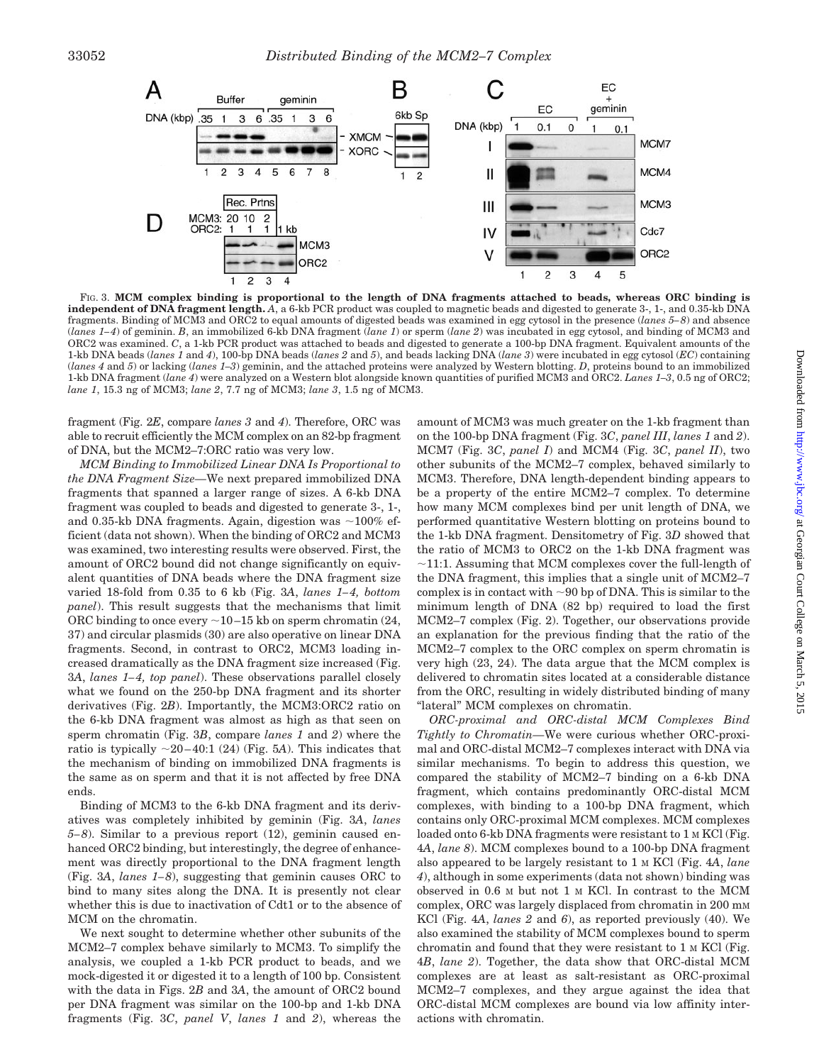

FIG. 3. **MCM complex binding is proportional to the length of DNA fragments attached to beads, whereas ORC binding is independent of DNA fragment length.** *A*, a 6-kb PCR product was coupled to magnetic beads and digested to generate 3-, 1-, and 0.35-kb DNA fragments. Binding of MCM3 and ORC2 to equal amounts of digested beads was examined in egg cytosol in the presence (*lanes 5–8*) and absence (*lanes 1–4*) of geminin. *B*, an immobilized 6-kb DNA fragment (*lane 1*) or sperm (*lane 2*) was incubated in egg cytosol, and binding of MCM3 and ORC2 was examined. *C*, a 1-kb PCR product was attached to beads and digested to generate a 100-bp DNA fragment. Equivalent amounts of the 1-kb DNA beads (*lanes 1* and *4*), 100-bp DNA beads (*lanes 2* and *5*), and beads lacking DNA (*lane 3*) were incubated in egg cytosol (*EC*) containing (*lanes 4* and *5*) or lacking (*lanes 1–3*) geminin, and the attached proteins were analyzed by Western blotting. *D*, proteins bound to an immobilized 1-kb DNA fragment (*lane 4*) were analyzed on a Western blot alongside known quantities of purified MCM3 and ORC2. *Lanes 1–3*, 0.5 ng of ORC2; *lane 1*, 15.3 ng of MCM3; *lane 2*, 7.7 ng of MCM3; *lane 3*, 1.5 ng of MCM3.

fragment (Fig. 2*E*, compare *lanes 3* and *4*). Therefore, ORC was able to recruit efficiently the MCM complex on an 82-bp fragment of DNA, but the MCM2–7:ORC ratio was very low.

*MCM Binding to Immobilized Linear DNA Is Proportional to the DNA Fragment Size—*We next prepared immobilized DNA fragments that spanned a larger range of sizes. A 6-kb DNA fragment was coupled to beads and digested to generate 3-, 1-, and 0.35-kb DNA fragments. Again, digestion was  $\sim$ 100% efficient (data not shown). When the binding of ORC2 and MCM3 was examined, two interesting results were observed. First, the amount of ORC2 bound did not change significantly on equivalent quantities of DNA beads where the DNA fragment size varied 18-fold from 0.35 to 6 kb (Fig. 3*A*, *lanes 1–4, bottom panel*). This result suggests that the mechanisms that limit ORC binding to once every  $\sim$ 10–15 kb on sperm chromatin (24, 37) and circular plasmids (30) are also operative on linear DNA fragments. Second, in contrast to ORC2, MCM3 loading increased dramatically as the DNA fragment size increased (Fig. 3*A*, *lanes 1–4, top panel*). These observations parallel closely what we found on the 250-bp DNA fragment and its shorter derivatives (Fig. 2*B*). Importantly, the MCM3:ORC2 ratio on the 6-kb DNA fragment was almost as high as that seen on sperm chromatin (Fig. 3*B*, compare *lanes 1* and *2*) where the ratio is typically  $\sim$ 20–40:1 (24) (Fig. 5A). This indicates that the mechanism of binding on immobilized DNA fragments is the same as on sperm and that it is not affected by free DNA ends.

Binding of MCM3 to the 6-kb DNA fragment and its derivatives was completely inhibited by geminin (Fig. 3*A*, *lanes 5–8*). Similar to a previous report (12), geminin caused enhanced ORC2 binding, but interestingly, the degree of enhancement was directly proportional to the DNA fragment length (Fig. 3*A*, *lanes 1–8*), suggesting that geminin causes ORC to bind to many sites along the DNA. It is presently not clear whether this is due to inactivation of Cdt1 or to the absence of MCM on the chromatin.

We next sought to determine whether other subunits of the MCM2–7 complex behave similarly to MCM3. To simplify the analysis, we coupled a 1-kb PCR product to beads, and we mock-digested it or digested it to a length of 100 bp. Consistent with the data in Figs. 2*B* and 3*A*, the amount of ORC2 bound per DNA fragment was similar on the 100-bp and 1-kb DNA fragments (Fig. 3*C*, *panel V*, *lanes 1* and *2*), whereas the amount of MCM3 was much greater on the 1-kb fragment than on the 100-bp DNA fragment (Fig. 3*C*, *panel III*, *lanes 1* and *2*). MCM7 (Fig. 3*C*, *panel I*) and MCM4 (Fig. 3*C*, *panel II*), two other subunits of the MCM2–7 complex, behaved similarly to MCM3. Therefore, DNA length-dependent binding appears to be a property of the entire MCM2–7 complex. To determine how many MCM complexes bind per unit length of DNA, we performed quantitative Western blotting on proteins bound to the 1-kb DNA fragment. Densitometry of Fig. 3*D* showed that the ratio of MCM3 to ORC2 on the 1-kb DNA fragment was  $\sim$ 11:1. Assuming that MCM complexes cover the full-length of the DNA fragment, this implies that a single unit of MCM2–7 complex is in contact with  $\sim$ 90 bp of DNA. This is similar to the minimum length of DNA (82 bp) required to load the first MCM2–7 complex (Fig. 2). Together, our observations provide an explanation for the previous finding that the ratio of the MCM2–7 complex to the ORC complex on sperm chromatin is very high (23, 24). The data argue that the MCM complex is delivered to chromatin sites located at a considerable distance from the ORC, resulting in widely distributed binding of many "lateral" MCM complexes on chromatin.

*ORC-proximal and ORC-distal MCM Complexes Bind Tightly to Chromatin—*We were curious whether ORC-proximal and ORC-distal MCM2–7 complexes interact with DNA via similar mechanisms. To begin to address this question, we compared the stability of MCM2–7 binding on a 6-kb DNA fragment, which contains predominantly ORC-distal MCM complexes, with binding to a 100-bp DNA fragment, which contains only ORC-proximal MCM complexes. MCM complexes loaded onto 6-kb DNA fragments were resistant to 1 M KCl (Fig. 4*A*, *lane 8*). MCM complexes bound to a 100-bp DNA fragment also appeared to be largely resistant to 1 M KCl (Fig. 4*A*, *lane 4*), although in some experiments (data not shown) binding was observed in 0.6 M but not 1 M KCl. In contrast to the MCM complex, ORC was largely displaced from chromatin in 200 mM KCl (Fig. 4*A*, *lanes 2* and *6*), as reported previously (40). We also examined the stability of MCM complexes bound to sperm chromatin and found that they were resistant to 1 M KCl (Fig. 4*B*, *lane 2*). Together, the data show that ORC-distal MCM complexes are at least as salt-resistant as ORC-proximal MCM2–7 complexes, and they argue against the idea that ORC-distal MCM complexes are bound via low affinity interactions with chromatin.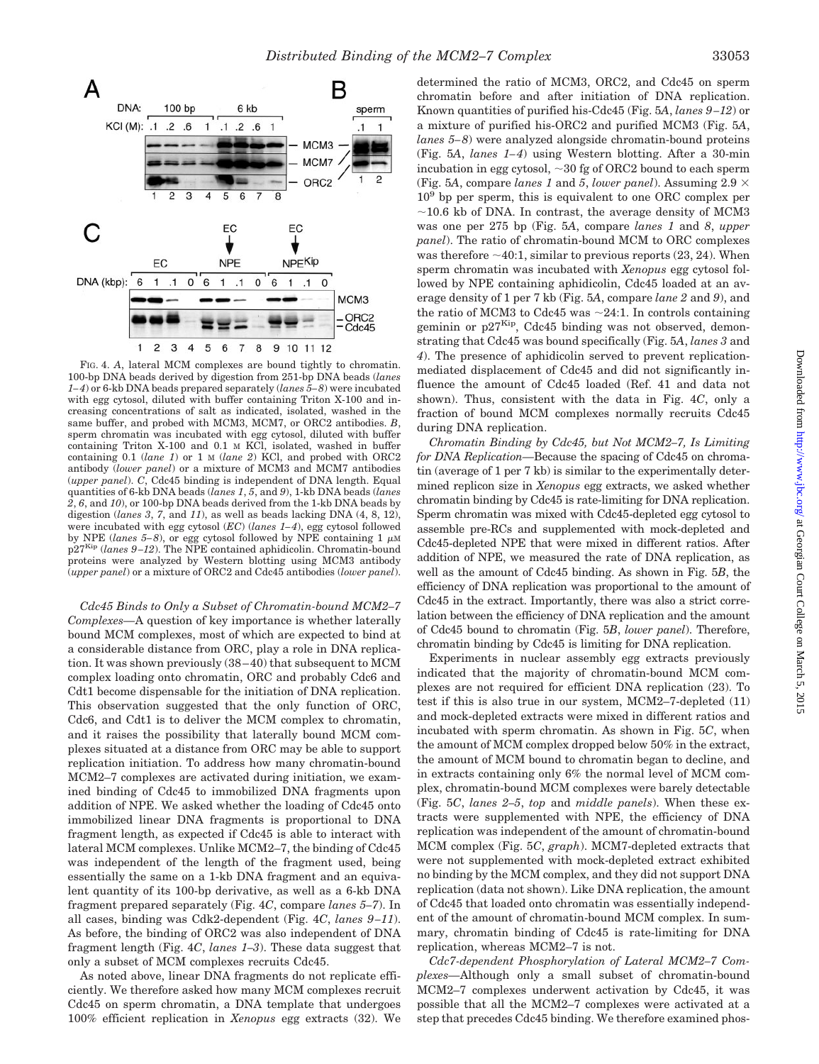

FIG. 4. *A*, lateral MCM complexes are bound tightly to chromatin. 100-bp DNA beads derived by digestion from 251-bp DNA beads (*lanes 1–4*) or 6-kb DNA beads prepared separately (*lanes 5–8*) were incubated with egg cytosol, diluted with buffer containing Triton X-100 and increasing concentrations of salt as indicated, isolated, washed in the same buffer, and probed with MCM3, MCM7, or ORC2 antibodies. *B*, sperm chromatin was incubated with egg cytosol, diluted with buffer containing Triton X-100 and 0.1 M KCl, isolated, washed in buffer containing 0.1 (*lane 1*) or 1 M (*lane 2*) KCl, and probed with ORC2 antibody (*lower panel*) or a mixture of MCM3 and MCM7 antibodies (*upper panel*). *C*, Cdc45 binding is independent of DNA length. Equal quantities of 6-kb DNA beads (*lanes 1*, *5*, and *9*), 1-kb DNA beads (*lanes 2*, *6*, and *10*), or 100-bp DNA beads derived from the 1-kb DNA beads by digestion (*lanes 3*, *7*, and *11*), as well as beads lacking DNA (4, 8, 12), were incubated with egg cytosol (*EC*) (*lanes 1–4*), egg cytosol followed by NPE (*lanes* 5–8), or egg cytosol followed by NPE containing 1  $\mu$ M p27Kip (*lanes 9–12*). The NPE contained aphidicolin. Chromatin-bound proteins were analyzed by Western blotting using MCM3 antibody (*upper panel*) or a mixture of ORC2 and Cdc45 antibodies (*lower panel*).

*Cdc45 Binds to Only a Subset of Chromatin-bound MCM2–7 Complexes—*A question of key importance is whether laterally bound MCM complexes, most of which are expected to bind at a considerable distance from ORC, play a role in DNA replication. It was shown previously (38–40) that subsequent to MCM complex loading onto chromatin, ORC and probably Cdc6 and Cdt1 become dispensable for the initiation of DNA replication. This observation suggested that the only function of ORC, Cdc6, and Cdt1 is to deliver the MCM complex to chromatin, and it raises the possibility that laterally bound MCM complexes situated at a distance from ORC may be able to support replication initiation. To address how many chromatin-bound MCM2–7 complexes are activated during initiation, we examined binding of Cdc45 to immobilized DNA fragments upon addition of NPE. We asked whether the loading of Cdc45 onto immobilized linear DNA fragments is proportional to DNA fragment length, as expected if Cdc45 is able to interact with lateral MCM complexes. Unlike MCM2–7, the binding of Cdc45 was independent of the length of the fragment used, being essentially the same on a 1-kb DNA fragment and an equivalent quantity of its 100-bp derivative, as well as a 6-kb DNA fragment prepared separately (Fig. 4*C*, compare *lanes 5–7*). In all cases, binding was Cdk2-dependent (Fig. 4*C*, *lanes 9–11*). As before, the binding of ORC2 was also independent of DNA fragment length (Fig. 4*C*, *lanes 1–3*). These data suggest that only a subset of MCM complexes recruits Cdc45.

As noted above, linear DNA fragments do not replicate efficiently. We therefore asked how many MCM complexes recruit Cdc45 on sperm chromatin, a DNA template that undergoes 100% efficient replication in *Xenopus* egg extracts (32). We

determined the ratio of MCM3, ORC2, and Cdc45 on sperm chromatin before and after initiation of DNA replication. Known quantities of purified his-Cdc45 (Fig. 5*A*, *lanes 9–12*) or a mixture of purified his-ORC2 and purified MCM3 (Fig. 5*A*, *lanes 5–8*) were analyzed alongside chromatin-bound proteins (Fig. 5*A*, *lanes 1–4*) using Western blotting. After a 30-min incubation in egg cytosol,  $\sim$  30 fg of ORC2 bound to each sperm (Fig. 5A, compare *lanes 1* and 5, *lower panel*). Assuming  $2.9 \times$  $10<sup>9</sup>$  bp per sperm, this is equivalent to one ORC complex per  $\sim$ 10.6 kb of DNA. In contrast, the average density of MCM3 was one per 275 bp (Fig. 5*A*, compare *lanes 1* and *8*, *upper panel*). The ratio of chromatin-bound MCM to ORC complexes was therefore  $\sim$  40:1, similar to previous reports (23, 24). When sperm chromatin was incubated with *Xenopus* egg cytosol followed by NPE containing aphidicolin, Cdc45 loaded at an average density of 1 per 7 kb (Fig. 5*A*, compare *lane 2* and *9*), and the ratio of MCM3 to Cdc45 was  $\sim$ 24:1. In controls containing geminin or  $p27^{Kip}$ , Cdc45 binding was not observed, demonstrating that Cdc45 was bound specifically (Fig. 5*A*, *lanes 3* and *4*). The presence of aphidicolin served to prevent replicationmediated displacement of Cdc45 and did not significantly influence the amount of Cdc45 loaded (Ref. 41 and data not shown). Thus, consistent with the data in Fig. 4*C*, only a fraction of bound MCM complexes normally recruits Cdc45 during DNA replication.

*Chromatin Binding by Cdc45, but Not MCM2–7, Is Limiting for DNA Replication—*Because the spacing of Cdc45 on chromatin (average of 1 per 7 kb) is similar to the experimentally determined replicon size in *Xenopus* egg extracts, we asked whether chromatin binding by Cdc45 is rate-limiting for DNA replication. Sperm chromatin was mixed with Cdc45-depleted egg cytosol to assemble pre-RCs and supplemented with mock-depleted and Cdc45-depleted NPE that were mixed in different ratios. After addition of NPE, we measured the rate of DNA replication, as well as the amount of Cdc45 binding. As shown in Fig. 5*B*, the efficiency of DNA replication was proportional to the amount of Cdc45 in the extract. Importantly, there was also a strict correlation between the efficiency of DNA replication and the amount of Cdc45 bound to chromatin (Fig. 5*B*, *lower panel*). Therefore, chromatin binding by Cdc45 is limiting for DNA replication.

Experiments in nuclear assembly egg extracts previously indicated that the majority of chromatin-bound MCM complexes are not required for efficient DNA replication (23). To test if this is also true in our system, MCM2–7-depleted (11) and mock-depleted extracts were mixed in different ratios and incubated with sperm chromatin. As shown in Fig. 5*C*, when the amount of MCM complex dropped below 50% in the extract, the amount of MCM bound to chromatin began to decline, and in extracts containing only 6% the normal level of MCM complex, chromatin-bound MCM complexes were barely detectable (Fig. 5*C*, *lanes 2–5*, *top* and *middle panels*). When these extracts were supplemented with NPE, the efficiency of DNA replication was independent of the amount of chromatin-bound MCM complex (Fig. 5*C*, *graph*). MCM7-depleted extracts that were not supplemented with mock-depleted extract exhibited no binding by the MCM complex, and they did not support DNA replication (data not shown). Like DNA replication, the amount of Cdc45 that loaded onto chromatin was essentially independent of the amount of chromatin-bound MCM complex. In summary, chromatin binding of Cdc45 is rate-limiting for DNA replication, whereas MCM2–7 is not.

*Cdc7-dependent Phosphorylation of Lateral MCM2–7 Complexes—*Although only a small subset of chromatin-bound MCM2–7 complexes underwent activation by Cdc45, it was possible that all the MCM2–7 complexes were activated at a step that precedes Cdc45 binding. We therefore examined phos-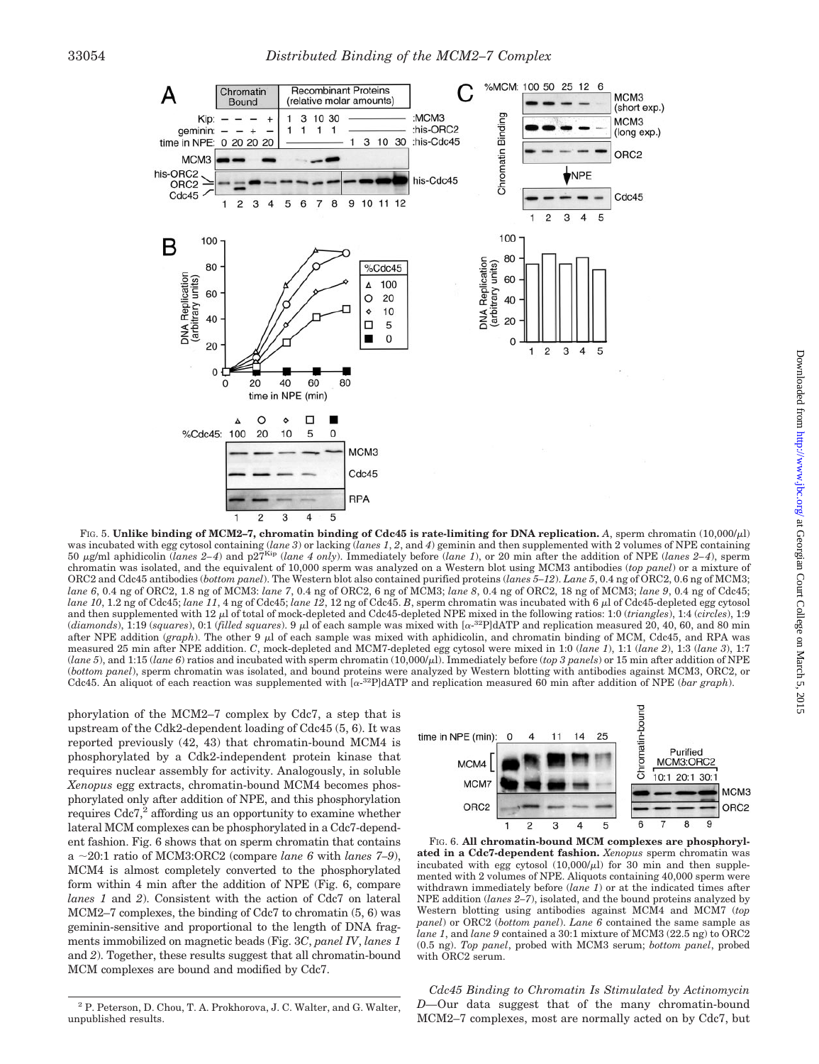

FIG. 5. Unlike binding of MCM2-7, chromatin binding of Cdc45 is rate-limiting for DNA replication. A, sperm chromatin (10,000/µl) was incubated with egg cytosol containing (*lane 3*) or lacking (*lanes 1*, *2*, and *4*) geminin and then supplemented with 2 volumes of NPE containing 50  $\mu$ g/ml aphidicolin (*lanes 2–4*) and p27<sup>Kip</sup> (*lane 4 only*). Immediately before (*lane 1*), or 20 min after the addition of NPE (*lanes 2–4*), sperm chromatin was isolated, and the equivalent of 10,000 sperm was analyzed on a Western blot using MCM3 antibodies (*top panel*) or a mixture of ORC2 and Cdc45 antibodies (*bottom panel*). The Western blot also contained purified proteins (*lanes 5–12*). *Lane 5*, 0.4 ng of ORC2, 0.6 ng of MCM3; *lane 6*, 0.4 ng of ORC2, 1.8 ng of MCM3: *lane 7*, 0.4 ng of ORC2, 6 ng of MCM3; *lane 8*, 0.4 ng of ORC2, 18 ng of MCM3; *lane 9*, 0.4 ng of Cdc45; *lane 10*, 1.2 ng of Cdc45; *lane 11*, 4 ng of Cdc45; *lane 12*, 12 ng of Cdc45. *B*, sperm chromatin was incubated with 6 µl of Cdc45-depleted egg cytosol and then supplemented with 12  $\mu$  of total of mock-depleted and Cdc45-depleted NPE mixed in the following ratios: 1:0 (*triangles*), 1:4 (*circles*), 1:9 (*diamonds*), 1:19 (*squares*), 0:1 (*filled squares*). 9 µ of each sample was mixed with [ $\alpha$ -<sup>32</sup>P]dATP and replication measured 20, 40, 60, and 80 min after NPE addition (*graph*). The other 9  $\mu$ l of each sample was mixed with aphidicolin, and chromatin binding of MCM, Cdc45, and RPA was measured 25 min after NPE addition. *C*, mock-depleted and MCM7-depleted egg cytosol were mixed in 1:0 (*lane 1*), 1:1 (*lane 2*), 1:3 (*lane 3*), 1:7 (*lane 5*), and 1:15 (*lane 6*) ratios and incubated with sperm chromatin (10,000/ $\mu$ ). Immediately before (*top 3 panels*) or 15 min after addition of NPE (*bottom panel*), sperm chromatin was isolated, and bound proteins were analyzed by Western blotting with antibodies against MCM3, ORC2, or Cdc45. An aliquot of each reaction was supplemented with  $\alpha^{-32}P$ dATP and replication measured 60 min after addition of NPE (*bar graph*).

phorylation of the MCM2–7 complex by Cdc7, a step that is upstream of the Cdk2-dependent loading of Cdc45 (5, 6). It was reported previously (42, 43) that chromatin-bound MCM4 is phosphorylated by a Cdk2-independent protein kinase that requires nuclear assembly for activity. Analogously, in soluble *Xenopus* egg extracts, chromatin-bound MCM4 becomes phosphorylated only after addition of NPE, and this phosphorylation requires Cdc7,<sup>2</sup> affording us an opportunity to examine whether lateral MCM complexes can be phosphorylated in a Cdc7-dependent fashion. Fig. 6 shows that on sperm chromatin that contains a  $\sim$ 20:1 ratio of MCM3:ORC2 (compare *lane 6* with *lanes 7–9*), MCM4 is almost completely converted to the phosphorylated form within 4 min after the addition of NPE (Fig. 6, compare *lanes 1* and *2*). Consistent with the action of Cdc7 on lateral MCM2–7 complexes, the binding of Cdc7 to chromatin (5, 6) was geminin-sensitive and proportional to the length of DNA fragments immobilized on magnetic beads (Fig. 3*C*, *panel IV*, *lanes 1* and *2*). Together, these results suggest that all chromatin-bound MCM complexes are bound and modified by Cdc7.



FIG. 6. **All chromatin-bound MCM complexes are phosphorylated in a Cdc7-dependent fashion.** *Xenopus* sperm chromatin was incubated with egg cytosol  $(10,000/\mu l)$  for 30 min and then supplemented with 2 volumes of NPE. Aliquots containing 40,000 sperm were withdrawn immediately before (*lane 1*) or at the indicated times after NPE addition (*lanes 2–7*), isolated, and the bound proteins analyzed by Western blotting using antibodies against MCM4 and MCM7 (*top panel*) or ORC2 (*bottom panel*). *Lane 6* contained the same sample as *lane 1*, and *lane 9* contained a 30:1 mixture of MCM3 (22.5 ng) to ORC2 (0.5 ng). *Top panel*, probed with MCM3 serum; *bottom panel*, probed with ORC2 serum.

*Cdc45 Binding to Chromatin Is Stimulated by Actinomycin D—*Our data suggest that of the many chromatin-bound MCM2–7 complexes, most are normally acted on by Cdc7, but

<sup>2</sup> P. Peterson, D. Chou, T. A. Prokhorova, J. C. Walter, and G. Walter, unpublished results.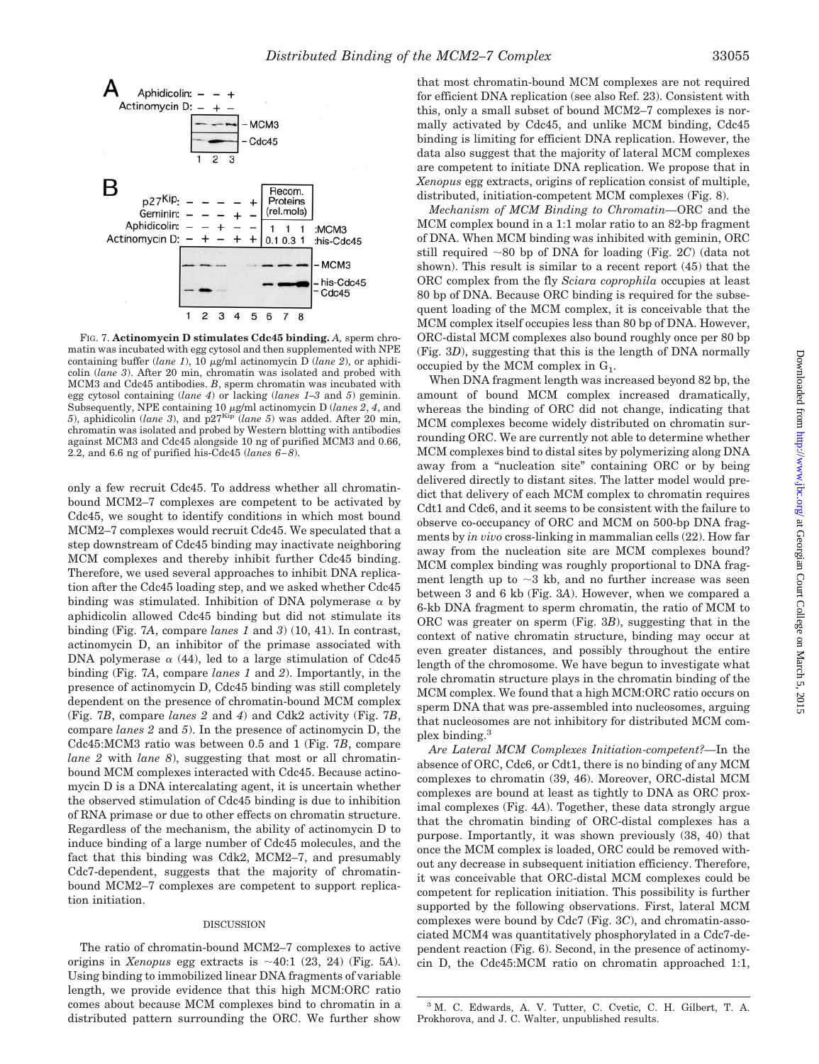

FIG. 7. **Actinomycin D stimulates Cdc45 binding.** *A,* sperm chromatin was incubated with egg cytosol and then supplemented with NPE containing buffer (*lane 1*), 10  $\mu$ g/ml actinomycin D (*lane 2*), or aphidicolin (*lane 3*). After 20 min, chromatin was isolated and probed with MCM3 and Cdc45 antibodies. *B*, sperm chromatin was incubated with egg cytosol containing (*lane 4*) or lacking (*lanes 1–3* and *5*) geminin. Subsequently, NPE containing 10  $\mu$ g/ml actinomycin D (*lanes 2*, *4*, and 5), aphidicolin (*lane 3*), and p27<sup>Kip</sup> (*lane 5*) was added. After 20 min, chromatin was isolated and probed by Western blotting with antibodies against MCM3 and Cdc45 alongside 10 ng of purified MCM3 and 0.66, 2.2, and 6.6 ng of purified his-Cdc45 (*lanes 6–8*).

only a few recruit Cdc45. To address whether all chromatinbound MCM2–7 complexes are competent to be activated by Cdc45, we sought to identify conditions in which most bound MCM2–7 complexes would recruit Cdc45. We speculated that a step downstream of Cdc45 binding may inactivate neighboring MCM complexes and thereby inhibit further Cdc45 binding. Therefore, we used several approaches to inhibit DNA replication after the Cdc45 loading step, and we asked whether Cdc45 binding was stimulated. Inhibition of DNA polymerase  $\alpha$  by aphidicolin allowed Cdc45 binding but did not stimulate its binding (Fig. 7*A*, compare *lanes 1* and *3*) (10, 41). In contrast, actinomycin D, an inhibitor of the primase associated with DNA polymerase  $\alpha$  (44), led to a large stimulation of Cdc45 binding (Fig. 7*A*, compare *lanes 1* and *2*). Importantly, in the presence of actinomycin D, Cdc45 binding was still completely dependent on the presence of chromatin-bound MCM complex (Fig. 7*B*, compare *lanes 2* and *4*) and Cdk2 activity (Fig. 7*B*, compare *lanes 2* and *5*). In the presence of actinomycin D, the Cdc45:MCM3 ratio was between 0.5 and 1 (Fig. 7*B*, compare *lane 2* with *lane 8*), suggesting that most or all chromatinbound MCM complexes interacted with Cdc45. Because actinomycin D is a DNA intercalating agent, it is uncertain whether the observed stimulation of Cdc45 binding is due to inhibition of RNA primase or due to other effects on chromatin structure. Regardless of the mechanism, the ability of actinomycin D to induce binding of a large number of Cdc45 molecules, and the fact that this binding was Cdk2, MCM2–7, and presumably Cdc7-dependent, suggests that the majority of chromatinbound MCM2–7 complexes are competent to support replication initiation.

### DISCUSSION

The ratio of chromatin-bound MCM2–7 complexes to active origins in *Xenopus* egg extracts is  $\sim$  40:1 (23, 24) (Fig. 5A). Using binding to immobilized linear DNA fragments of variable length, we provide evidence that this high MCM:ORC ratio comes about because MCM complexes bind to chromatin in a distributed pattern surrounding the ORC. We further show

*Mechanism of MCM Binding to Chromatin—*ORC and the MCM complex bound in a 1:1 molar ratio to an 82-bp fragment of DNA. When MCM binding was inhibited with geminin, ORC still required 80 bp of DNA for loading (Fig. 2*C*) (data not shown). This result is similar to a recent report (45) that the ORC complex from the fly *Sciara coprophila* occupies at least 80 bp of DNA. Because ORC binding is required for the subsequent loading of the MCM complex, it is conceivable that the MCM complex itself occupies less than 80 bp of DNA. However, ORC-distal MCM complexes also bound roughly once per 80 bp (Fig. 3*D*), suggesting that this is the length of DNA normally occupied by the MCM complex in  $G_1$ .

When DNA fragment length was increased beyond 82 bp, the amount of bound MCM complex increased dramatically, whereas the binding of ORC did not change, indicating that MCM complexes become widely distributed on chromatin surrounding ORC. We are currently not able to determine whether MCM complexes bind to distal sites by polymerizing along DNA away from a "nucleation site" containing ORC or by being delivered directly to distant sites. The latter model would predict that delivery of each MCM complex to chromatin requires Cdt1 and Cdc6, and it seems to be consistent with the failure to observe co-occupancy of ORC and MCM on 500-bp DNA fragments by *in vivo* cross-linking in mammalian cells (22). How far away from the nucleation site are MCM complexes bound? MCM complex binding was roughly proportional to DNA fragment length up to  $\sim$ 3 kb, and no further increase was seen between 3 and 6 kb (Fig. 3*A*). However, when we compared a 6-kb DNA fragment to sperm chromatin, the ratio of MCM to ORC was greater on sperm (Fig. 3*B*), suggesting that in the context of native chromatin structure, binding may occur at even greater distances, and possibly throughout the entire length of the chromosome. We have begun to investigate what role chromatin structure plays in the chromatin binding of the MCM complex. We found that a high MCM:ORC ratio occurs on sperm DNA that was pre-assembled into nucleosomes, arguing that nucleosomes are not inhibitory for distributed MCM complex binding.<sup>3</sup>

*Are Lateral MCM Complexes Initiation-competent?—*In the absence of ORC, Cdc6, or Cdt1, there is no binding of any MCM complexes to chromatin (39, 46). Moreover, ORC-distal MCM complexes are bound at least as tightly to DNA as ORC proximal complexes (Fig. 4*A*). Together, these data strongly argue that the chromatin binding of ORC-distal complexes has a purpose. Importantly, it was shown previously (38, 40) that once the MCM complex is loaded, ORC could be removed without any decrease in subsequent initiation efficiency. Therefore, it was conceivable that ORC-distal MCM complexes could be competent for replication initiation. This possibility is further supported by the following observations. First, lateral MCM complexes were bound by Cdc7 (Fig. 3*C*), and chromatin-associated MCM4 was quantitatively phosphorylated in a Cdc7-dependent reaction (Fig. 6). Second, in the presence of actinomycin D, the Cdc45:MCM ratio on chromatin approached 1:1,

<sup>3</sup> M. C. Edwards, A. V. Tutter, C. Cvetic, C. H. Gilbert, T. A. Prokhorova, and J. C. Walter, unpublished results.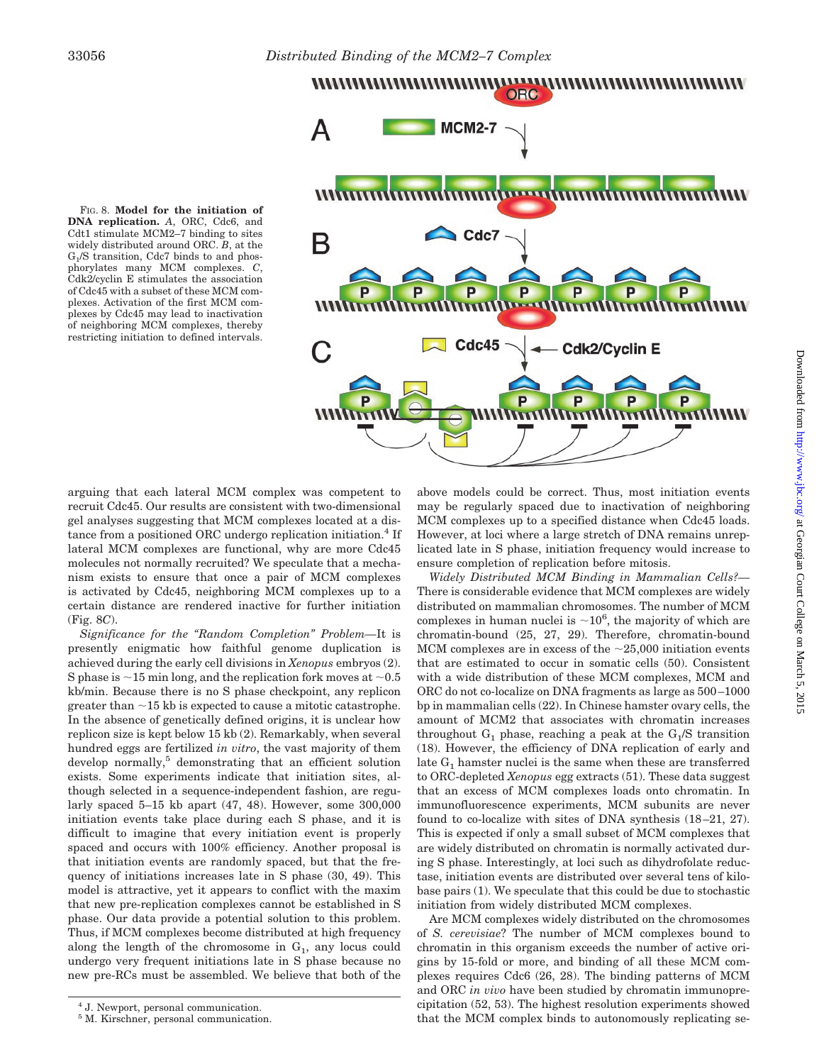



arguing that each lateral MCM complex was competent to recruit Cdc45. Our results are consistent with two-dimensional gel analyses suggesting that MCM complexes located at a distance from a positioned ORC undergo replication initiation.<sup>4</sup> If lateral MCM complexes are functional, why are more Cdc45 molecules not normally recruited? We speculate that a mechanism exists to ensure that once a pair of MCM complexes is activated by Cdc45, neighboring MCM complexes up to a certain distance are rendered inactive for further initiation (Fig. 8*C*).

*Significance for the "Random Completion" Problem—*It is presently enigmatic how faithful genome duplication is achieved during the early cell divisions in *Xenopus* embryos (2). S phase is  $\sim$ 15 min long, and the replication fork moves at  $\sim$ 0.5 kb/min. Because there is no S phase checkpoint, any replicon greater than  $\sim$  15 kb is expected to cause a mitotic catastrophe. In the absence of genetically defined origins, it is unclear how replicon size is kept below 15 kb (2). Remarkably, when several hundred eggs are fertilized *in vitro*, the vast majority of them develop normally,<sup>5</sup> demonstrating that an efficient solution exists. Some experiments indicate that initiation sites, although selected in a sequence-independent fashion, are regularly spaced 5–15 kb apart (47, 48). However, some 300,000 initiation events take place during each S phase, and it is difficult to imagine that every initiation event is properly spaced and occurs with 100% efficiency. Another proposal is that initiation events are randomly spaced, but that the frequency of initiations increases late in S phase (30, 49). This model is attractive, yet it appears to conflict with the maxim that new pre-replication complexes cannot be established in S phase. Our data provide a potential solution to this problem. Thus, if MCM complexes become distributed at high frequency along the length of the chromosome in  $G_1$ , any locus could undergo very frequent initiations late in S phase because no new pre-RCs must be assembled. We believe that both of the above models could be correct. Thus, most initiation events may be regularly spaced due to inactivation of neighboring MCM complexes up to a specified distance when Cdc45 loads. However, at loci where a large stretch of DNA remains unreplicated late in S phase, initiation frequency would increase to ensure completion of replication before mitosis.

*Widely Distributed MCM Binding in Mammalian Cells?—* There is considerable evidence that MCM complexes are widely distributed on mammalian chromosomes. The number of MCM complexes in human nuclei is  $\sim 10^6$ , the majority of which are chromatin-bound (25, 27, 29). Therefore, chromatin-bound MCM complexes are in excess of the  $\sim$ 25,000 initiation events that are estimated to occur in somatic cells (50). Consistent with a wide distribution of these MCM complexes, MCM and ORC do not co-localize on DNA fragments as large as 500–1000 bp in mammalian cells (22). In Chinese hamster ovary cells, the amount of MCM2 that associates with chromatin increases throughout  $G_1$  phase, reaching a peak at the  $G_1/S$  transition (18). However, the efficiency of DNA replication of early and late  $G_1$  hamster nuclei is the same when these are transferred to ORC-depleted *Xenopus* egg extracts (51). These data suggest that an excess of MCM complexes loads onto chromatin. In immunofluorescence experiments, MCM subunits are never found to co-localize with sites of DNA synthesis (18–21, 27). This is expected if only a small subset of MCM complexes that are widely distributed on chromatin is normally activated during S phase. Interestingly, at loci such as dihydrofolate reductase, initiation events are distributed over several tens of kilobase pairs (1). We speculate that this could be due to stochastic initiation from widely distributed MCM complexes.

Are MCM complexes widely distributed on the chromosomes of *S. cerevisiae*? The number of MCM complexes bound to chromatin in this organism exceeds the number of active origins by 15-fold or more, and binding of all these MCM complexes requires Cdc6 (26, 28). The binding patterns of MCM and ORC *in vivo* have been studied by chromatin immunoprecipitation (52, 53). The highest resolution experiments showed that the MCM complex binds to autonomously replicating se-

<sup>4</sup> J. Newport, personal communication.

<sup>5</sup> M. Kirschner, personal communication.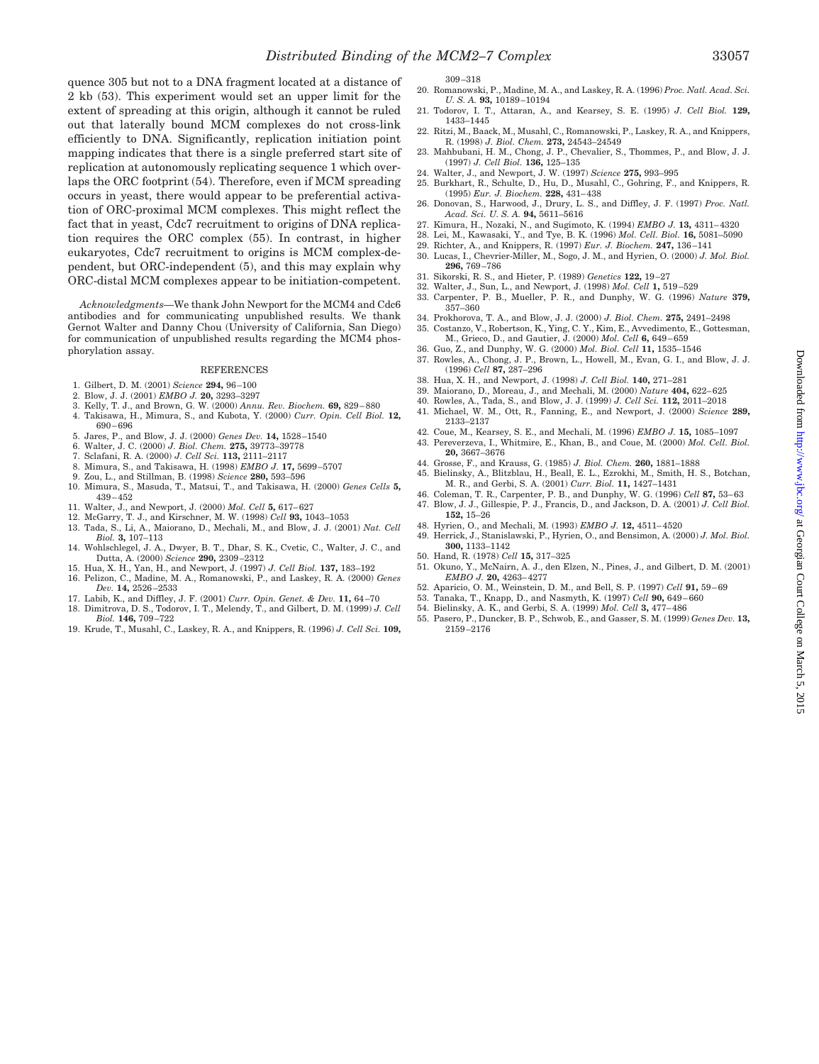quence 305 but not to a DNA fragment located at a distance of 2 kb (53). This experiment would set an upper limit for the extent of spreading at this origin, although it cannot be ruled out that laterally bound MCM complexes do not cross-link efficiently to DNA. Significantly, replication initiation point mapping indicates that there is a single preferred start site of replication at autonomously replicating sequence 1 which overlaps the ORC footprint (54). Therefore, even if MCM spreading occurs in yeast, there would appear to be preferential activation of ORC-proximal MCM complexes. This might reflect the fact that in yeast, Cdc7 recruitment to origins of DNA replication requires the ORC complex (55). In contrast, in higher eukaryotes, Cdc7 recruitment to origins is MCM complex-dependent, but ORC-independent (5), and this may explain why ORC-distal MCM complexes appear to be initiation-competent.

*Acknowledgments—*We thank John Newport for the MCM4 and Cdc6 antibodies and for communicating unpublished results. We thank Gernot Walter and Danny Chou (University of California, San Diego) for communication of unpublished results regarding the MCM4 phosphorylation assay.

### **REFERENCES**

- 1. Gilbert, D. M. (2001) *Science* **294,** 96–100
- 2. Blow, J. J. (2001) *EMBO J.* **20,** 3293–3297
- 3. Kelly, T. J., and Brown, G. W. (2000) *Annu. Rev. Biochem.* **69,** 829–880
- 4. Takisawa, H., Mimura, S., and Kubota, Y. (2000) *Curr. Opin. Cell Biol.* **12,** 690–696
- 5. Jares, P., and Blow, J. J. (2000) *Genes Dev.* **14,** 1528–1540
- 6. Walter, J. C. (2000) *J. Biol. Chem.* **275,** 39773–39778
- 7. Sclafani, R. A. (2000) *J. Cell Sci.* **113,** 2111–2117
- 8. Mimura, S., and Takisawa, H. (1998) *EMBO J.* **17,** 5699–5707
- 9. Zou, L., and Stillman, B. (1998) *Science* **280,** 593–596
- 10. Mimura, S., Masuda, T., Matsui, T., and Takisawa, H. (2000) *Genes Cells* **5,** 439–452
- 11. Walter, J., and Newport, J. (2000) *Mol. Cell* **5,** 617–627
- 12. McGarry, T. J., and Kirschner, M. W. (1998) *Cell* **93,** 1043–1053
- 13. Tada, S., Li, A., Maiorano, D., Mechali, M., and Blow, J. J. (2001) *Nat. Cell Biol.* **3,** 107–113
- 14. Wohlschlegel, J. A., Dwyer, B. T., Dhar, S. K., Cvetic, C., Walter, J. C., and Dutta, A. (2000) *Science* **290,** 2309–2312
- 15. Hua, X. H., Yan, H., and Newport, J. (1997) *J. Cell Biol.* **137,** 183–192 16. Pelizon, C., Madine, M. A., Romanowski, P., and Laskey, R. A. (2000) *Genes*
- *Dev.* **14,** 2526–2533
- 17. Labib, K., and Diffley, J. F. (2001) *Curr. Opin. Genet. & Dev.* **11,** 64–70
- 18. Dimitrova, D. S., Todorov, I. T., Melendy, T., and Gilbert, D. M. (1999) *J. Cell Biol.* **146,** 709–722
- 19. Krude, T., Musahl, C., Laskey, R. A., and Knippers, R. (1996) *J. Cell Sci.* **109,**

309–318

- 20. Romanowski, P., Madine, M. A., and Laskey, R. A. (1996) *Proc. Natl. Acad. Sci. U. S. A.* **93,** 10189–10194
- 21. Todorov, I. T., Attaran, A., and Kearsey, S. E. (1995) *J. Cell Biol.* **129,** 1433–1445
- 22. Ritzi, M., Baack, M., Musahl, C., Romanowski, P., Laskey, R. A., and Knippers, R. (1998) *J. Biol. Chem.* **273,** 24543–24549
- 23. Mahbubani, H. M., Chong, J. P., Chevalier, S., Thommes, P., and Blow, J. J. (1997) *J. Cell Biol.* **136,** 125–135
- 24. Walter, J., and Newport, J. W. (1997) *Science* **275,** 993–995 25. Burkhart, R., Schulte, D., Hu, D., Musahl, C., Gohring, F., and Knippers, R.
- (1995) *Eur. J. Biochem.* **228,** 431–438 26. Donovan, S., Harwood, J., Drury, L. S., and Diffley, J. F. (1997) *Proc. Natl.*
- *Acad. Sci. U. S. A.* **94,** 5611–5616 27. Kimura, H., Nozaki, N., and Sugimoto, K. (1994) *EMBO J.* **13,** 4311–4320
- 28. Lei, M., Kawasaki, Y., and Tye, B. K. (1996) *Mol. Cell. Biol.* **16,** 5081–5090
- 29. Richter, A., and Knippers, R. (1997) *Eur. J. Biochem.* **247,** 136–141
- 30. Lucas, I., Chevrier-Miller, M., Sogo, J. M., and Hyrien, O. (2000) *J. Mol. Biol.* **296,** 769–786
- 31. Sikorski, R. S., and Hieter, P. (1989) *Genetics* **122,** 19–27
- 32. Walter, J., Sun, L., and Newport, J. (1998) *Mol. Cell* **1,** 519–529
- 33. Carpenter, P. B., Mueller, P. R., and Dunphy, W. G. (1996) *Nature* **379,** 357–360
- 34. Prokhorova, T. A., and Blow, J. J. (2000) *J. Biol. Chem.* **275,** 2491–2498
- 35. Costanzo, V., Robertson, K., Ying, C. Y., Kim, E., Avvedimento, E., Gottesman, M., Grieco, D., and Gautier, J. (2000) *Mol. Cell* **6,** 649–659
- 36. Guo, Z., and Dunphy, W. G. (2000) *Mol. Biol. Cell* **11,** 1535–1546 37. Rowles, A., Chong, J. P., Brown, L., Howell, M., Evan, G. I., and Blow, J. J. (1996) *Cell* **87,** 287–296
- 
- 38. Hua, X. H., and Newport, J. (1998) *J. Cell Biol.* **140,** 271–281 39. Maiorano, D., Moreau, J., and Mechali, M. (2000) *Nature* **404,** 622–625
- 40. Rowles, A., Tada, S., and Blow, J. J. (1999) *J. Cell Sci.* **112,** 2011–2018
- 41. Michael, W. M., Ott, R., Fanning, E., and Newport, J. (2000) *Science* **289,**
- 2133–2137
- 42. Coue, M., Kearsey, S. E., and Mechali, M. (1996) *EMBO J.* **15,** 1085–1097
- 43. Pereverzeva, I., Whitmire, E., Khan, B., and Coue, M. (2000) *Mol. Cell. Biol.* **20,** 3667–3676
- 44. Grosse, F., and Krauss, G. (1985) *J. Biol. Chem.* **260,** 1881–1888 45. Bielinsky, A., Blitzblau, H., Beall, E. L., Ezrokhi, M., Smith, H. S., Botchan,
- M. R., and Gerbi, S. A. (2001) *Curr. Biol.* **11,** 1427–1431 46. Coleman, T. R., Carpenter, P. B., and Dunphy, W. G. (1996) *Cell* **87,** 53–63
- 47. Blow, J. J., Gillespie, P. J., Francis, D., and Jackson, D. A. (2001) *J. Cell Biol.* **152,** 15–26
- 48. Hyrien, O., and Mechali, M. (1993) *EMBO J.* **12,** 4511–4520
- 49. Herrick, J., Stanislawski, P., Hyrien, O., and Bensimon, A. (2000) *J. Mol. Biol.* **300,** 1133–1142
	- 50. Hand, R. (1978) *Cell* **15,** 317–325
	- 51. Okuno, Y., McNairn, A. J., den Elzen, N., Pines, J., and Gilbert, D. M. (2001) *EMBO J.* **20,** 4263–4277
	- 52. Aparicio, O. M., Weinstein, D. M., and Bell, S. P. (1997) *Cell* **91,** 59–69
	- 53. Tanaka, T., Knapp, D., and Nasmyth, K. (1997) *Cell* **90,** 649–660
	- 54. Bielinsky, A. K., and Gerbi, S. A. (1999) *Mol. Cell* **3,** 477–486
	- 55. Pasero, P., Duncker, B. P., Schwob, E., and Gasser, S. M. (1999) *Genes Dev.* **13,** 2159–2176